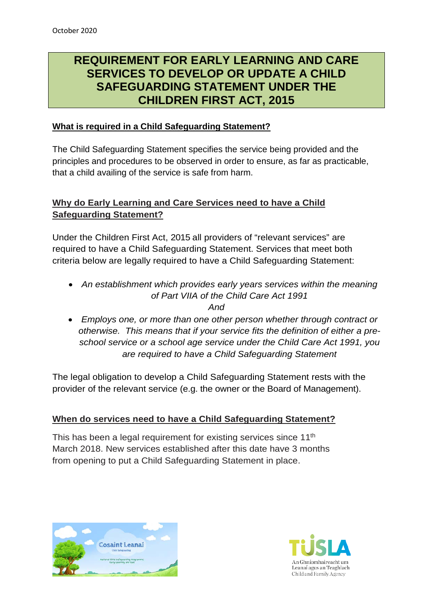# **REQUIREMENT FOR EARLY LEARNING AND CARE SERVICES TO DEVELOP OR UPDATE A CHILD SAFEGUARDING STATEMENT UNDER THE CHILDREN FIRST ACT, 2015**

## **What is required in a Child Safeguarding Statement?**

The Child Safeguarding Statement specifies the service being provided and the principles and procedures to be observed in order to ensure, as far as practicable, that a child availing of the service is safe from harm.

# **Why do Early Learning and Care Services need to have a Child Safeguarding Statement?**

Under the Children First Act, 2015 all providers of "relevant services" are required to have a Child Safeguarding Statement. Services that meet both criteria below are legally required to have a Child Safeguarding Statement:

• *An establishment which provides early years services within the meaning of Part VIIA of the Child Care Act 1991*

*And*

• *Employs one, or more than one other person whether through contract or otherwise. This means that if your service fits the definition of either a preschool service or a school age service under the Child Care Act 1991, you are required to have a Child Safeguarding Statement*

The legal obligation to develop a Child Safeguarding Statement rests with the provider of the relevant service (e.g. the owner or the Board of Management).

## **When do services need to have a Child Safeguarding Statement?**

This has been a legal requirement for existing services since 11<sup>th</sup> March 2018. New services established after this date have 3 months from opening to put a Child Safeguarding Statement in place.



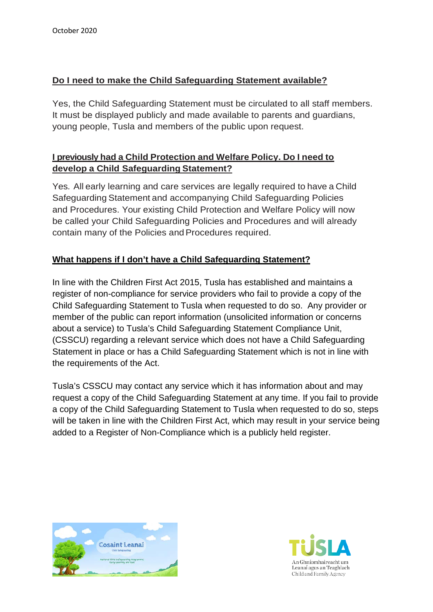# **Do I need to make the Child Safeguarding Statement available?**

Yes, the Child Safeguarding Statement must be circulated to all staff members. It must be displayed publicly and made available to parents and guardians, young people, Tusla and members of the public upon request.

# **I previously had a Child Protection and Welfare Policy. Do I need to develop a Child Safeguarding Statement?**

Yes. All early learning and care services are legally required to have a Child Safeguarding Statement and accompanying Child Safeguarding Policies and Procedures. Your existing Child Protection and Welfare Policy will now be called your Child Safeguarding Policies and Procedures and will already contain many of the Policies andProcedures required.

# **What happens if I don't have a Child Safeguarding Statement?**

In line with the Children First Act 2015, Tusla has established and maintains a register of non-compliance for service providers who fail to provide a copy of the Child Safeguarding Statement to Tusla when requested to do so. Any provider or member of the public can report information (unsolicited information or concerns about a service) to Tusla's Child Safeguarding Statement Compliance Unit, (CSSCU) regarding a relevant service which does not have a Child Safeguarding Statement in place or has a Child Safeguarding Statement which is not in line with the requirements of the Act.

Tusla's CSSCU may contact any service which it has information about and may request a copy of the Child Safeguarding Statement at any time. If you fail to provide a copy of the Child Safeguarding Statement to Tusla when requested to do so, steps will be taken in line with the Children First Act, which may result in your service being added to a Register of Non-Compliance which is a publicly held register.



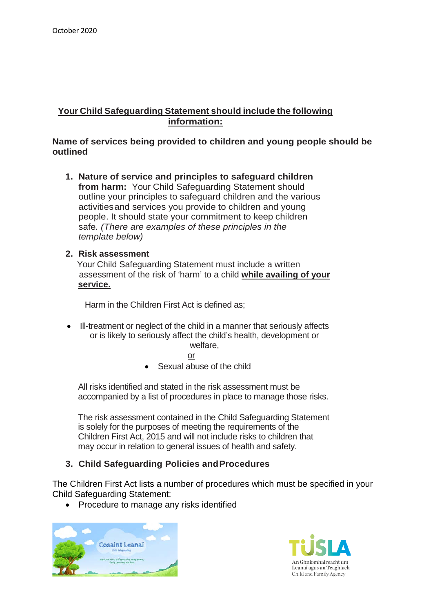## **Your Child Safeguarding Statement should include the following information:**

#### **Name of services being provided to children and young people should be outlined**

**1. Nature of service and principles to safeguard children from harm:** Your Child Safeguarding Statement should outline your principles to safeguard children and the various activitiesand services you provide to children and young people. It should state your commitment to keep children safe*. (There are examples of these principles in the template below)*

#### **2. Risk assessment**

 Your Child Safeguarding Statement must include a written assessment of the risk of 'harm' to a child **while availing of your service.** 

Harm in the Children First Act is defined as;

• Ill-treatment or neglect of the child in a manner that seriously affects or is likely to seriously affect the child's health, development or welfare,

or

• Sexual abuse of the child

All risks identified and stated in the risk assessment must be accompanied by a list of procedures in place to manage those risks.

The risk assessment contained in the Child Safeguarding Statement is solely for the purposes of meeting the requirements of the Children First Act, 2015 and will not include risks to children that may occur in relation to general issues of health and safety.

## **3. Child Safeguarding Policies andProcedures**

The Children First Act lists a number of procedures which must be specified in your Child Safeguarding Statement:

• Procedure to manage any risks identified